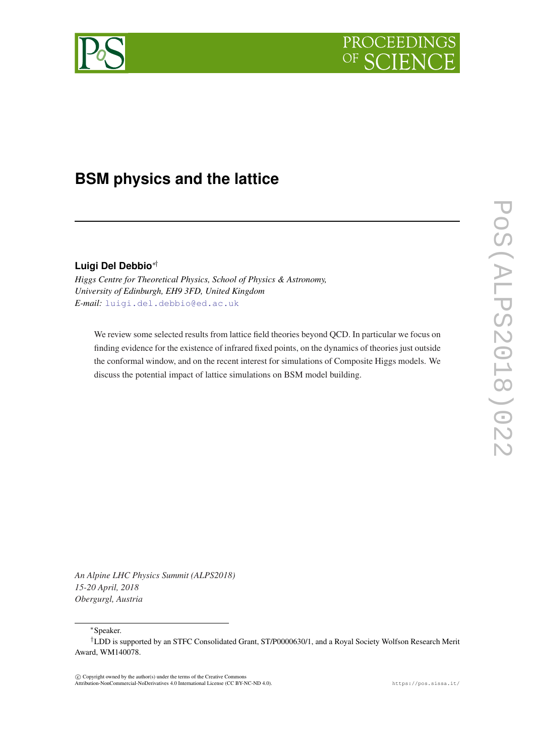



# **BSM physics and the lattice**

# **Luigi Del Debbio**∗†

*Higgs Centre for Theoretical Physics, School of Physics & Astronomy, University of Edinburgh, EH9 3FD, United Kingdom E-mail:* [luigi.del.debbio@ed.ac.uk](mailto:luigi.del.debbio@ed.ac.uk)

We review some selected results from lattice field theories beyond QCD. In particular we focus on finding evidence for the existence of infrared fixed points, on the dynamics of theories just outside the conformal window, and on the recent interest for simulations of Composite Higgs models. We discuss the potential impact of lattice simulations on BSM model building.

*An Alpine LHC Physics Summit (ALPS2018) 15-20 April, 2018 Obergurgl, Austria*

<sup>∗</sup>Speaker.

 $\overline{c}$  Copyright owned by the author(s) under the terms of the Creative Common Attribution-NonCommercial-NoDerivatives 4.0 International License (CC BY-NC-ND 4.0). https://pos.sissa.it/

<sup>†</sup>LDD is supported by an STFC Consolidated Grant, ST/P0000630/1, and a Royal Society Wolfson Research Merit Award, WM140078.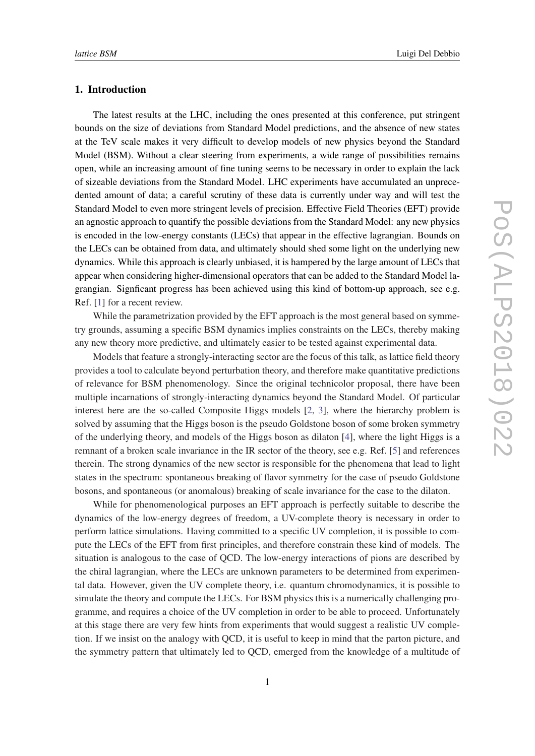#### 1. Introduction

The latest results at the LHC, including the ones presented at this conference, put stringent bounds on the size of deviations from Standard Model predictions, and the absence of new states at the TeV scale makes it very difficult to develop models of new physics beyond the Standard Model (BSM). Without a clear steering from experiments, a wide range of possibilities remains open, while an increasing amount of fine tuning seems to be necessary in order to explain the lack of sizeable deviations from the Standard Model. LHC experiments have accumulated an unprecedented amount of data; a careful scrutiny of these data is currently under way and will test the Standard Model to even more stringent levels of precision. Effective Field Theories (EFT) provide an agnostic approach to quantify the possible deviations from the Standard Model: any new physics is encoded in the low-energy constants (LECs) that appear in the effective lagrangian. Bounds on the LECs can be obtained from data, and ultimately should shed some light on the underlying new dynamics. While this approach is clearly unbiased, it is hampered by the large amount of LECs that appear when considering higher-dimensional operators that can be added to the Standard Model lagrangian. Signficant progress has been achieved using this kind of bottom-up approach, see e.g. Ref. [\[1\]](#page-7-0) for a recent review.

While the parametrization provided by the EFT approach is the most general based on symmetry grounds, assuming a specific BSM dynamics implies constraints on the LECs, thereby making any new theory more predictive, and ultimately easier to be tested against experimental data.

Models that feature a strongly-interacting sector are the focus of this talk, as lattice field theory provides a tool to calculate beyond perturbation theory, and therefore make quantitative predictions of relevance for BSM phenomenology. Since the original technicolor proposal, there have been multiple incarnations of strongly-interacting dynamics beyond the Standard Model. Of particular interest here are the so-called Composite Higgs models [[2](#page-7-0), [3\]](#page-7-0), where the hierarchy problem is solved by assuming that the Higgs boson is the pseudo Goldstone boson of some broken symmetry of the underlying theory, and models of the Higgs boson as dilaton [[4](#page-7-0)], where the light Higgs is a remnant of a broken scale invariance in the IR sector of the theory, see e.g. Ref. [[5](#page-7-0)] and references therein. The strong dynamics of the new sector is responsible for the phenomena that lead to light states in the spectrum: spontaneous breaking of flavor symmetry for the case of pseudo Goldstone bosons, and spontaneous (or anomalous) breaking of scale invariance for the case to the dilaton.

While for phenomenological purposes an EFT approach is perfectly suitable to describe the dynamics of the low-energy degrees of freedom, a UV-complete theory is necessary in order to perform lattice simulations. Having committed to a specific UV completion, it is possible to compute the LECs of the EFT from first principles, and therefore constrain these kind of models. The situation is analogous to the case of QCD. The low-energy interactions of pions are described by the chiral lagrangian, where the LECs are unknown parameters to be determined from experimental data. However, given the UV complete theory, i.e. quantum chromodynamics, it is possible to simulate the theory and compute the LECs. For BSM physics this is a numerically challenging programme, and requires a choice of the UV completion in order to be able to proceed. Unfortunately at this stage there are very few hints from experiments that would suggest a realistic UV completion. If we insist on the analogy with QCD, it is useful to keep in mind that the parton picture, and the symmetry pattern that ultimately led to QCD, emerged from the knowledge of a multitude of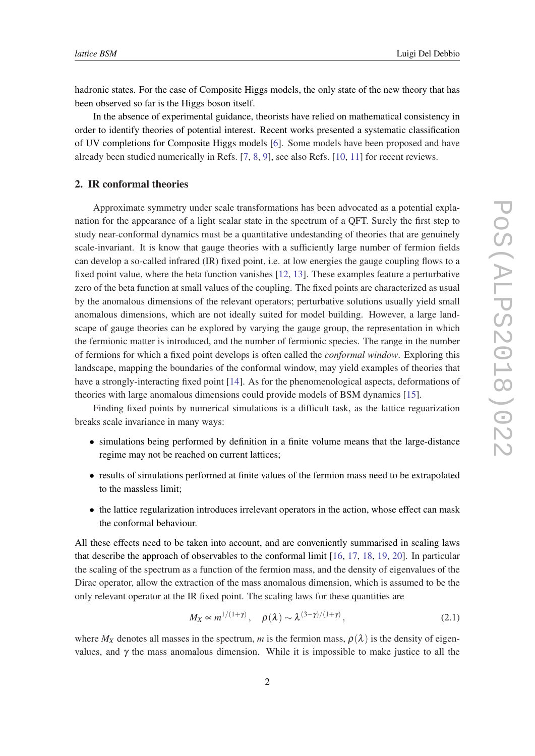hadronic states. For the case of Composite Higgs models, the only state of the new theory that has been observed so far is the Higgs boson itself.

In the absence of experimental guidance, theorists have relied on mathematical consistency in order to identify theories of potential interest. Recent works presented a systematic classification of UV completions for Composite Higgs models [\[6\]](#page-7-0). Some models have been proposed and have already been studied numerically in Refs. [[7](#page-7-0), [8](#page-7-0), [9](#page-7-0)], see also Refs. [\[10](#page-7-0), [11\]](#page-7-0) for recent reviews.

## 2. IR conformal theories

Approximate symmetry under scale transformations has been advocated as a potential explanation for the appearance of a light scalar state in the spectrum of a QFT. Surely the first step to study near-conformal dynamics must be a quantitative undestanding of theories that are genuinely scale-invariant. It is know that gauge theories with a sufficiently large number of fermion fields can develop a so-called infrared (IR) fixed point, i.e. at low energies the gauge coupling flows to a fixed point value, where the beta function vanishes [\[12,](#page-7-0) [13](#page-7-0)]. These examples feature a perturbative zero of the beta function at small values of the coupling. The fixed points are characterized as usual by the anomalous dimensions of the relevant operators; perturbative solutions usually yield small anomalous dimensions, which are not ideally suited for model building. However, a large landscape of gauge theories can be explored by varying the gauge group, the representation in which the fermionic matter is introduced, and the number of fermionic species. The range in the number of fermions for which a fixed point develops is often called the *conformal window*. Exploring this landscape, mapping the boundaries of the conformal window, may yield examples of theories that have a strongly-interacting fixed point [[14](#page-7-0)]. As for the phenomenological aspects, deformations of theories with large anomalous dimensions could provide models of BSM dynamics [\[15](#page-8-0)].

Finding fixed points by numerical simulations is a difficult task, as the lattice reguarization breaks scale invariance in many ways:

- simulations being performed by definition in a finite volume means that the large-distance regime may not be reached on current lattices;
- results of simulations performed at finite values of the fermion mass need to be extrapolated to the massless limit;
- the lattice regularization introduces irrelevant operators in the action, whose effect can mask the conformal behaviour.

All these effects need to be taken into account, and are conveniently summarised in scaling laws that describe the approach of observables to the conformal limit [\[16](#page-8-0), [17,](#page-8-0) [18](#page-8-0), [19](#page-8-0), [20\]](#page-8-0). In particular the scaling of the spectrum as a function of the fermion mass, and the density of eigenvalues of the Dirac operator, allow the extraction of the mass anomalous dimension, which is assumed to be the only relevant operator at the IR fixed point. The scaling laws for these quantities are

$$
M_X \propto m^{1/(1+\gamma)}, \quad \rho(\lambda) \sim \lambda^{(3-\gamma)/(1+\gamma)}, \tag{2.1}
$$

where  $M_X$  denotes all masses in the spectrum, *m* is the fermion mass,  $\rho(\lambda)$  is the density of eigenvalues, and  $\gamma$  the mass anomalous dimension. While it is impossible to make justice to all the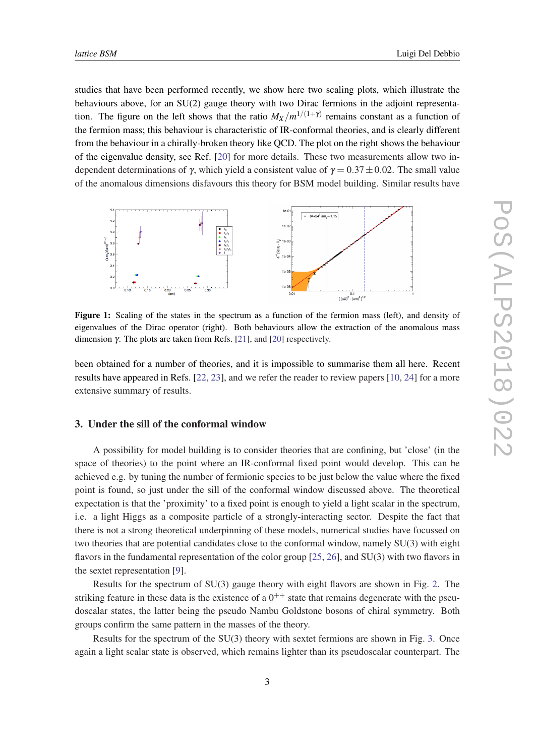studies that have been performed recently, we show here two scaling plots, which illustrate the behaviours above, for an SU(2) gauge theory with two Dirac fermions in the adjoint representation. The figure on the left shows that the ratio  $M_X/m^{1/(1+\gamma)}$  remains constant as a function of the fermion mass; this behaviour is characteristic of IR-conformal theories, and is clearly different from the behaviour in a chirally-broken theory like QCD. The plot on the right shows the behaviour of the eigenvalue density, see Ref. [\[20\]](#page-8-0) for more details. These two measurements allow two independent determinations of  $\gamma$ , which yield a consistent value of  $\gamma = 0.37 \pm 0.02$ . The small value of the anomalous dimensions disfavours this theory for BSM model building. Similar results have



Figure 1: Scaling of the states in the spectrum as a function of the fermion mass (left), and density of eigenvalues of the Dirac operator (right). Both behaviours allow the extraction of the anomalous mass dimension γ. The plots are taken from Refs. [[21\]](#page-8-0), and [\[20](#page-8-0)] respectively.

been obtained for a number of theories, and it is impossible to summarise them all here. Recent results have appeared in Refs. [[22,](#page-8-0) [23\]](#page-8-0), and we refer the reader to review papers [[10,](#page-7-0) [24\]](#page-8-0) for a more extensive summary of results.

## 3. Under the sill of the conformal window

A possibility for model building is to consider theories that are confining, but 'close' (in the space of theories) to the point where an IR-conformal fixed point would develop. This can be achieved e.g. by tuning the number of fermionic species to be just below the value where the fixed point is found, so just under the sill of the conformal window discussed above. The theoretical expectation is that the 'proximity' to a fixed point is enough to yield a light scalar in the spectrum, i.e. a light Higgs as a composite particle of a strongly-interacting sector. Despite the fact that there is not a strong theoretical underpinning of these models, numerical studies have focussed on two theories that are potential candidates close to the conformal window, namely SU(3) with eight flavors in the fundamental representation of the color group [\[25](#page-8-0), [26\]](#page-8-0), and SU(3) with two flavors in the sextet representation [[9](#page-7-0)].

Results for the spectrum of SU(3) gauge theory with eight flavors are shown in Fig. [2.](#page-4-0) The striking feature in these data is the existence of a  $0^{++}$  state that remains degenerate with the pseudoscalar states, the latter being the pseudo Nambu Goldstone bosons of chiral symmetry. Both groups confirm the same pattern in the masses of the theory.

Results for the spectrum of the  $SU(3)$  theory with sextet fermions are shown in Fig. [3.](#page-4-0) Once again a light scalar state is observed, which remains lighter than its pseudoscalar counterpart. The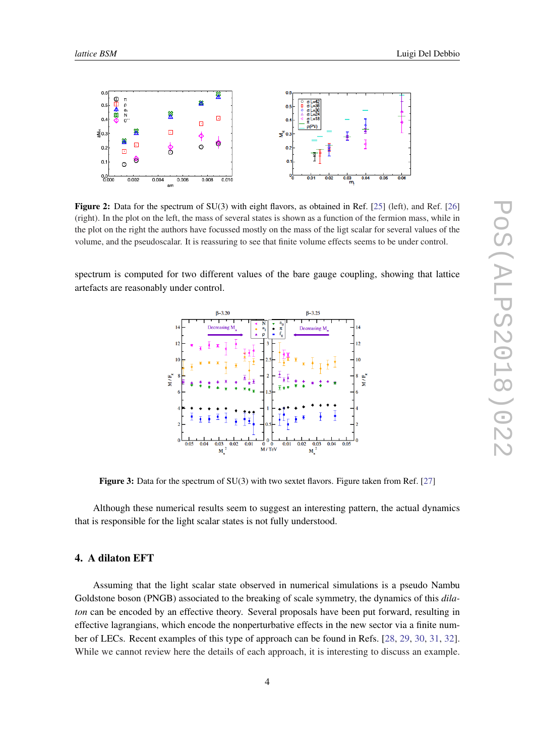<span id="page-4-0"></span>

Figure 2: Data for the spectrum of SU(3) with eight flavors, as obtained in Ref. [\[25\]](#page-8-0) (left), and Ref. [[26\]](#page-8-0) (right). In the plot on the left, the mass of several states is shown as a function of the fermion mass, while in the plot on the right the authors have focussed mostly on the mass of the ligt scalar for several values of the volume, and the pseudoscalar. It is reassuring to see that finite volume effects seems to be under control.

spectrum is computed for two different values of the bare gauge coupling, showing that lattice artefacts are reasonably under control.



Figure 3: Data for the spectrum of SU(3) with two sextet flavors. Figure taken from Ref. [[27](#page-8-0)]

Although these numerical results seem to suggest an interesting pattern, the actual dynamics that is responsible for the light scalar states is not fully understood.

# 4. A dilaton EFT

Assuming that the light scalar state observed in numerical simulations is a pseudo Nambu Goldstone boson (PNGB) associated to the breaking of scale symmetry, the dynamics of this *dilaton* can be encoded by an effective theory. Several proposals have been put forward, resulting in effective lagrangians, which encode the nonperturbative effects in the new sector via a finite number of LECs. Recent examples of this type of approach can be found in Refs. [\[28](#page-8-0), [29,](#page-8-0) [30](#page-8-0), [31](#page-8-0), [32\]](#page-8-0). While we cannot review here the details of each approach, it is interesting to discuss an example.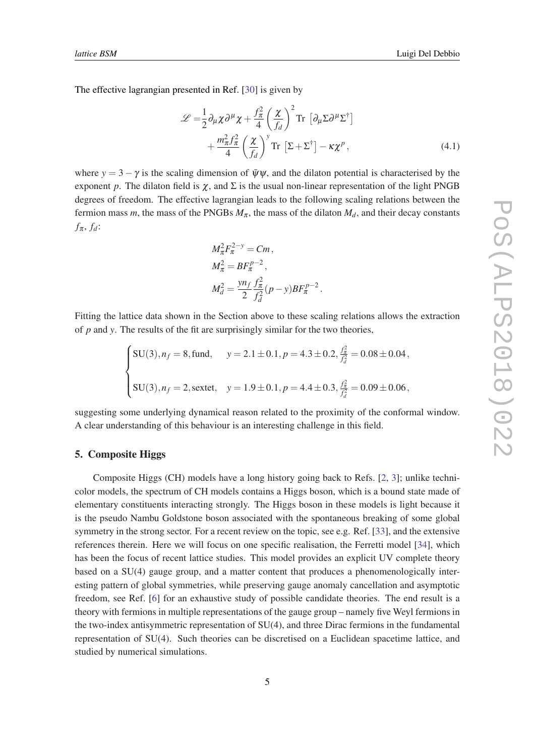The effective lagrangian presented in Ref. [[30](#page-8-0)] is given by

$$
\mathcal{L} = \frac{1}{2} \partial_{\mu} \chi \partial^{\mu} \chi + \frac{f_{\pi}^{2}}{4} \left(\frac{\chi}{f_{d}}\right)^{2} \text{Tr} \left[\partial_{\mu} \Sigma \partial^{\mu} \Sigma^{\dagger}\right] + \frac{m_{\pi}^{2} f_{\pi}^{2}}{4} \left(\frac{\chi}{f_{d}}\right)^{\nu} \text{Tr} \left[\Sigma + \Sigma^{\dagger}\right] - \kappa \chi^{\rho},
$$
(4.1)

where  $y = 3 - \gamma$  is the scaling dimension of  $\bar{\psi}\psi$ , and the dilaton potential is characterised by the exponent *p*. The dilaton field is  $\chi$ , and  $\Sigma$  is the usual non-linear representation of the light PNGB degrees of freedom. The effective lagrangian leads to the following scaling relations between the fermion mass *m*, the mass of the PNGBs  $M_{\pi}$ , the mass of the dilaton  $M_d$ , and their decay constants  $f_{\pi}$ ,  $f_d$ :

$$
M_{\pi}^{2} F_{\pi}^{2-y} = Cm,
$$
  
\n
$$
M_{\pi}^{2} = BF_{\pi}^{p-2},
$$
  
\n
$$
M_{d}^{2} = \frac{y n_f}{2} \frac{f_{\pi}^{2}}{f_{d}^{2}} (p-y) BF_{\pi}^{p-2}.
$$

Fitting the lattice data shown in the Section above to these scaling relations allows the extraction of *p* and *y*. The results of the fit are surprisingly similar for the two theories,

$$
\begin{cases}\n\text{SU}(3), n_f = 8, \text{fund}, & y = 2.1 \pm 0.1, p = 4.3 \pm 0.2, \frac{f_{\pi}^2}{f_d^2} = 0.08 \pm 0.04, \\
\text{SU}(3), n_f = 2, \text{sextet}, & y = 1.9 \pm 0.1, p = 4.4 \pm 0.3, \frac{f_{\pi}^2}{f_d^2} = 0.09 \pm 0.06,\n\end{cases}
$$

suggesting some underlying dynamical reason related to the proximity of the conformal window. A clear understanding of this behaviour is an interesting challenge in this field.

#### 5. Composite Higgs

Composite Higgs (CH) models have a long history going back to Refs. [\[2,](#page-7-0) [3](#page-7-0)]; unlike technicolor models, the spectrum of CH models contains a Higgs boson, which is a bound state made of elementary constituents interacting strongly. The Higgs boson in these models is light because it is the pseudo Nambu Goldstone boson associated with the spontaneous breaking of some global symmetry in the strong sector. For a recent review on the topic, see e.g. Ref. [[33\]](#page-8-0), and the extensive references therein. Here we will focus on one specific realisation, the Ferretti model [[34\]](#page-8-0), which has been the focus of recent lattice studies. This model provides an explicit UV complete theory based on a SU(4) gauge group, and a matter content that produces a phenomenologically interesting pattern of global symmetries, while preserving gauge anomaly cancellation and asymptotic freedom, see Ref. [\[6\]](#page-7-0) for an exhaustive study of possible candidate theories. The end result is a theory with fermions in multiple representations of the gauge group – namely five Weyl fermions in the two-index antisymmetric representation of SU(4), and three Dirac fermions in the fundamental representation of SU(4). Such theories can be discretised on a Euclidean spacetime lattice, and studied by numerical simulations.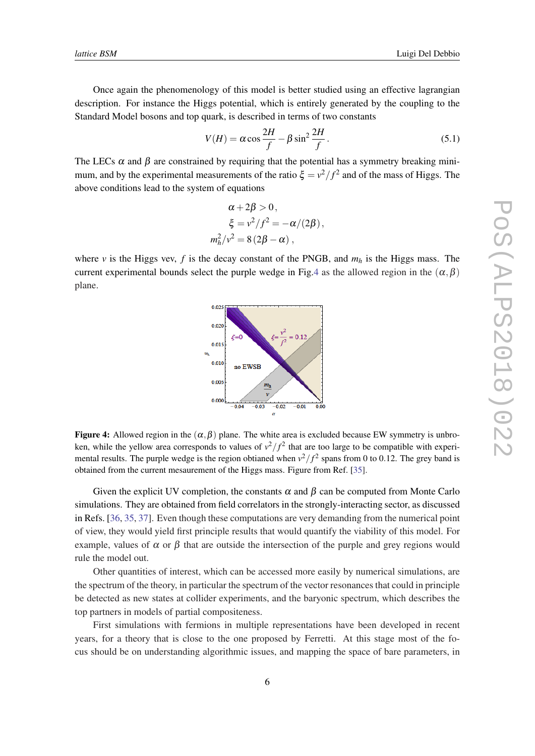Once again the phenomenology of this model is better studied using an effective lagrangian description. For instance the Higgs potential, which is entirely generated by the coupling to the Standard Model bosons and top quark, is described in terms of two constants

$$
V(H) = \alpha \cos \frac{2H}{f} - \beta \sin^2 \frac{2H}{f}.
$$
 (5.1)

The LECs  $\alpha$  and  $\beta$  are constrained by requiring that the potential has a symmetry breaking minimum, and by the experimental measurements of the ratio  $\xi = v^2/f^2$  and of the mass of Higgs. The above conditions lead to the system of equations

$$
\alpha + 2\beta > 0,
$$
  
\n
$$
\xi = v^2/f^2 = -\alpha/(2\beta),
$$
  
\n
$$
m_h^2/v^2 = 8(2\beta - \alpha),
$$

where  $\nu$  is the Higgs vev,  $f$  is the decay constant of the PNGB, and  $m_h$  is the Higgs mass. The current experimental bounds select the purple wedge in Fig.4 as the allowed region in the  $(\alpha, \beta)$ plane.



**Figure 4:** Allowed region in the  $(\alpha, \beta)$  plane. The white area is excluded because EW symmetry is unbroken, while the yellow area corresponds to values of  $v^2/f^2$  that are too large to be compatible with experimental results. The purple wedge is the region obtianed when  $v^2/f^2$  spans from 0 to 0.12. The grey band is obtained from the current mesaurement of the Higgs mass. Figure from Ref. [\[35](#page-8-0)].

Given the explicit UV completion, the constants  $\alpha$  and  $\beta$  can be computed from Monte Carlo simulations. They are obtained from field correlators in the strongly-interacting sector, as discussed in Refs. [[36](#page-9-0), [35](#page-8-0), [37](#page-9-0)]. Even though these computations are very demanding from the numerical point of view, they would yield first principle results that would quantify the viability of this model. For example, values of  $\alpha$  or  $\beta$  that are outside the intersection of the purple and grey regions would rule the model out.

Other quantities of interest, which can be accessed more easily by numerical simulations, are the spectrum of the theory, in particular the spectrum of the vector resonances that could in principle be detected as new states at collider experiments, and the baryonic spectrum, which describes the top partners in models of partial compositeness.

First simulations with fermions in multiple representations have been developed in recent years, for a theory that is close to the one proposed by Ferretti. At this stage most of the focus should be on understanding algorithmic issues, and mapping the space of bare parameters, in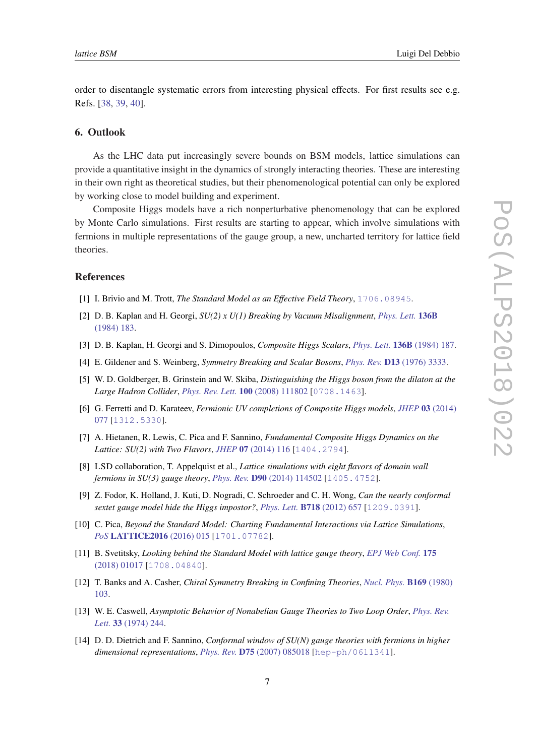<span id="page-7-0"></span>order to disentangle systematic errors from interesting physical effects. For first results see e.g. Refs. [\[38](#page-9-0), [39,](#page-9-0) [40](#page-9-0)].

## 6. Outlook

As the LHC data put increasingly severe bounds on BSM models, lattice simulations can provide a quantitative insight in the dynamics of strongly interacting theories. These are interesting in their own right as theoretical studies, but their phenomenological potential can only be explored by working close to model building and experiment.

Composite Higgs models have a rich nonperturbative phenomenology that can be explored by Monte Carlo simulations. First results are starting to appear, which involve simulations with fermions in multiple representations of the gauge group, a new, uncharted territory for lattice field theories.

#### References

- [1] I. Brivio and M. Trott, *The Standard Model as an Effective Field Theory*, [1706.08945](https://arxiv.org/abs/1706.08945).
- [2] D. B. Kaplan and H. Georgi, *SU(2) x U(1) Breaking by Vacuum Misalignment*, *[Phys. Lett.](https://doi.org/10.1016/0370-2693(84)91177-8)* 136B [\(1984\) 183](https://doi.org/10.1016/0370-2693(84)91177-8).
- [3] D. B. Kaplan, H. Georgi and S. Dimopoulos, *Composite Higgs Scalars*, *Phys. Lett.* 136B [\(1984\) 187.](https://doi.org/10.1016/0370-2693(84)91178-X)
- [4] E. Gildener and S. Weinberg, *Symmetry Breaking and Scalar Bosons*, *Phys. Rev.* D13 [\(1976\) 3333.](https://doi.org/10.1103/PhysRevD.13.3333)
- [5] W. D. Goldberger, B. Grinstein and W. Skiba, *Distinguishing the Higgs boson from the dilaton at the Large Hadron Collider*, *[Phys. Rev. Lett.](https://doi.org/10.1103/PhysRevLett.100.111802)* 100 (2008) 111802 [[0708.1463](https://arxiv.org/abs/0708.1463)].
- [6] G. Ferretti and D. Karateev, *Fermionic UV completions of Composite Higgs models*, *JHEP* 03 [\(2014\)](https://doi.org/10.1007/JHEP03(2014)077) [077](https://doi.org/10.1007/JHEP03(2014)077) [[1312.5330](https://arxiv.org/abs/1312.5330)].
- [7] A. Hietanen, R. Lewis, C. Pica and F. Sannino, *Fundamental Composite Higgs Dynamics on the Lattice: SU(2) with Two Flavors*, *JHEP* 07 [\(2014\) 116](https://doi.org/10.1007/JHEP07(2014)116) [[1404.2794](https://arxiv.org/abs/1404.2794)].
- [8] LSD collaboration, T. Appelquist et al., *Lattice simulations with eight flavors of domain wall fermions in SU(3) gauge theory*, *Phys. Rev.* D90 [\(2014\) 114502](https://doi.org/10.1103/PhysRevD.90.114502) [[1405.4752](https://arxiv.org/abs/1405.4752)].
- [9] Z. Fodor, K. Holland, J. Kuti, D. Nogradi, C. Schroeder and C. H. Wong, *Can the nearly conformal sextet gauge model hide the Higgs impostor?*, *Phys. Lett.* B718 [\(2012\) 657](https://doi.org/10.1016/j.physletb.2012.10.079) [[1209.0391](https://arxiv.org/abs/1209.0391)].
- [10] C. Pica, *Beyond the Standard Model: Charting Fundamental Interactions via Lattice Simulations*, *PoS* [LATTICE2016](https://doi.org/10.22323/1.256.0015) (2016) 015 [[1701.07782](https://arxiv.org/abs/1701.07782)].
- [11] B. Svetitsky, *Looking behind the Standard Model with lattice gauge theory*, *[EPJ Web Conf.](https://doi.org/10.1051/epjconf/201817501017)* 175 [\(2018\) 01017](https://doi.org/10.1051/epjconf/201817501017) [[1708.04840](https://arxiv.org/abs/1708.04840)].
- [12] T. Banks and A. Casher, *Chiral Symmetry Breaking in Confining Theories*, *[Nucl. Phys.](https://doi.org/10.1016/0550-3213(80)90255-2)* B169 (1980) [103](https://doi.org/10.1016/0550-3213(80)90255-2).
- [13] W. E. Caswell, *Asymptotic Behavior of Nonabelian Gauge Theories to Two Loop Order*, *[Phys. Rev.](https://doi.org/10.1103/PhysRevLett.33.244) Lett.* 33 [\(1974\) 244](https://doi.org/10.1103/PhysRevLett.33.244).
- [14] D. D. Dietrich and F. Sannino, *Conformal window of SU(N) gauge theories with fermions in higher dimensional representations*, *Phys. Rev.* D75 [\(2007\) 085018](https://doi.org/10.1103/PhysRevD.75.085018) [[hep-ph/0611341](https://arxiv.org/abs/hep-ph/0611341)].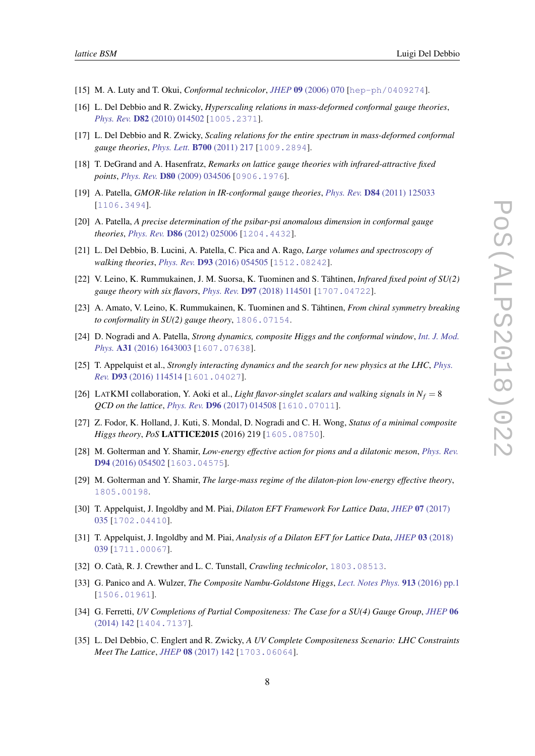- <span id="page-8-0"></span>[15] M. A. Luty and T. Okui, *Conformal technicolor*, *JHEP* 09 [\(2006\) 070](https://doi.org/10.1088/1126-6708/2006/09/070) [[hep-ph/0409274](https://arxiv.org/abs/hep-ph/0409274)].
- [16] L. Del Debbio and R. Zwicky, *Hyperscaling relations in mass-deformed conformal gauge theories*, *Phys. Rev.* D82 [\(2010\) 014502](https://doi.org/10.1103/PhysRevD.82.014502) [[1005.2371](https://arxiv.org/abs/1005.2371)].
- [17] L. Del Debbio and R. Zwicky, *Scaling relations for the entire spectrum in mass-deformed conformal gauge theories*, *Phys. Lett.* B700 [\(2011\) 217](https://doi.org/10.1016/j.physletb.2011.04.059) [[1009.2894](https://arxiv.org/abs/1009.2894)].
- [18] T. DeGrand and A. Hasenfratz, *Remarks on lattice gauge theories with infrared-attractive fixed points*, *Phys. Rev.* D80 [\(2009\) 034506](https://doi.org/10.1103/PhysRevD.80.034506) [[0906.1976](https://arxiv.org/abs/0906.1976)].
- [19] A. Patella, *GMOR-like relation in IR-conformal gauge theories*, *Phys. Rev.* D84 [\(2011\) 125033](https://doi.org/10.1103/PhysRevD.84.125033) [[1106.3494](https://arxiv.org/abs/1106.3494)].
- [20] A. Patella, *A precise determination of the psibar-psi anomalous dimension in conformal gauge theories*, *Phys. Rev.* D86 [\(2012\) 025006](https://doi.org/10.1103/PhysRevD.86.025006) [[1204.4432](https://arxiv.org/abs/1204.4432)].
- [21] L. Del Debbio, B. Lucini, A. Patella, C. Pica and A. Rago, *Large volumes and spectroscopy of walking theories*, *Phys. Rev.* D93 [\(2016\) 054505](https://doi.org/10.1103/PhysRevD.93.054505) [[1512.08242](https://arxiv.org/abs/1512.08242)].
- [22] V. Leino, K. Rummukainen, J. M. Suorsa, K. Tuominen and S. Tähtinen, *Infrared fixed point of SU(2) gauge theory with six flavors*, *Phys. Rev.* D97 [\(2018\) 114501](https://doi.org/10.1103/PhysRevD.97.114501) [[1707.04722](https://arxiv.org/abs/1707.04722)].
- [23] A. Amato, V. Leino, K. Rummukainen, K. Tuominen and S. Tähtinen, *From chiral symmetry breaking to conformality in SU(2) gauge theory*, [1806.07154](https://arxiv.org/abs/1806.07154).
- [24] D. Nogradi and A. Patella, *Strong dynamics, composite Higgs and the conformal window*, *[Int. J. Mod.](https://doi.org/10.1142/S0217751X1643003X) Phys.* A31 [\(2016\) 1643003](https://doi.org/10.1142/S0217751X1643003X) [[1607.07638](https://arxiv.org/abs/1607.07638)].
- [25] T. Appelquist et al., *Strongly interacting dynamics and the search for new physics at the LHC*, *[Phys.](https://doi.org/10.1103/PhysRevD.93.114514) Rev.* D93 [\(2016\) 114514](https://doi.org/10.1103/PhysRevD.93.114514) [[1601.04027](https://arxiv.org/abs/1601.04027)].
- [26] LATKMI collaboration, Y. Aoki et al., *Light flavor-singlet scalars and walking signals in*  $N_f = 8$ *QCD on the lattice*, *Phys. Rev.* D96 [\(2017\) 014508](https://doi.org/10.1103/PhysRevD.96.014508) [[1610.07011](https://arxiv.org/abs/1610.07011)].
- [27] Z. Fodor, K. Holland, J. Kuti, S. Mondal, D. Nogradi and C. H. Wong, *Status of a minimal composite Higgs theory*, *PoS* LATTICE2015 (2016) 219 [[1605.08750](https://arxiv.org/abs/1605.08750)].
- [28] M. Golterman and Y. Shamir, *Low-energy effective action for pions and a dilatonic meson*, *[Phys. Rev.](https://doi.org/10.1103/PhysRevD.94.054502)* D94 [\(2016\) 054502](https://doi.org/10.1103/PhysRevD.94.054502) [[1603.04575](https://arxiv.org/abs/1603.04575)].
- [29] M. Golterman and Y. Shamir, *The large-mass regime of the dilaton-pion low-energy effective theory*, [1805.00198](https://arxiv.org/abs/1805.00198).
- [30] T. Appelquist, J. Ingoldby and M. Piai, *Dilaton EFT Framework For Lattice Data*, *JHEP* 07 [\(2017\)](https://doi.org/10.1007/JHEP07(2017)035) [035](https://doi.org/10.1007/JHEP07(2017)035) [[1702.04410](https://arxiv.org/abs/1702.04410)].
- [31] T. Appelquist, J. Ingoldby and M. Piai, *Analysis of a Dilaton EFT for Lattice Data*, *JHEP* 03 [\(2018\)](https://doi.org/10.1007/JHEP03(2018)039) [039](https://doi.org/10.1007/JHEP03(2018)039) [[1711.00067](https://arxiv.org/abs/1711.00067)].
- [32] O. Catà, R. J. Crewther and L. C. Tunstall, *Crawling technicolor*, [1803.08513](https://arxiv.org/abs/1803.08513).
- [33] G. Panico and A. Wulzer, *The Composite Nambu-Goldstone Higgs*, *[Lect. Notes Phys.](https://doi.org/10.1007/978-3-319-22617-0)* 913 (2016) pp.1 [[1506.01961](https://arxiv.org/abs/1506.01961)].
- [34] G. Ferretti, *UV Completions of Partial Compositeness: The Case for a SU(4) Gauge Group*, *[JHEP](https://doi.org/10.1007/JHEP06(2014)142)* 06 [\(2014\) 142](https://doi.org/10.1007/JHEP06(2014)142) [[1404.7137](https://arxiv.org/abs/1404.7137)].
- [35] L. Del Debbio, C. Englert and R. Zwicky, *A UV Complete Compositeness Scenario: LHC Constraints Meet The Lattice*, *JHEP* 08 [\(2017\) 142](https://doi.org/10.1007/JHEP08(2017)142) [[1703.06064](https://arxiv.org/abs/1703.06064)].